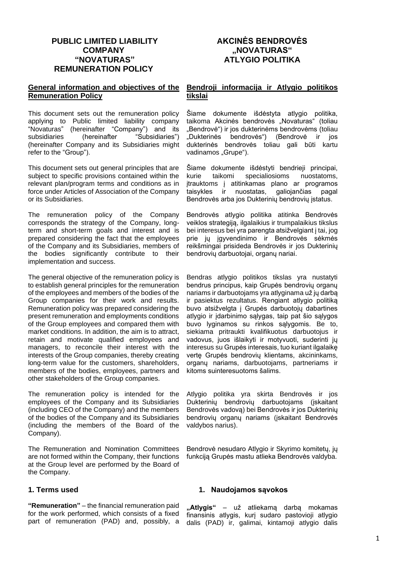# **PUBLIC LIMITED LIABILITY COMPANY "NOVATURAS" REMUNERATION POLICY**

# **AKCINĖS BENDROVĖS "NOVATURAS" ATLYGIO POLITIKA**

# **General information and objectives of the Remuneration Policy**

This document sets out the remuneration policy applying to Public limited liability company "Novaturas" (hereinafter "Company") and its subsidiaries (hereinafter "Subsidiaries") (hereinafter Company and its Subsidiaries might refer to the "Group").

This document sets out general principles that are subject to specific provisions contained within the relevant plan/program terms and conditions as in force under Articles of Association of the Company or its Subsidiaries.

The remuneration policy of the Company corresponds the strategy of the Company, longterm and short-term goals and interest and is prepared considering the fact that the employees of the Company and its Subsidiaries, members of the bodies significantly contribute to their implementation and success.

The general objective of the remuneration policy is to establish general principles for the remuneration of the employees and members of the bodies of the Group companies for their work and results. Remuneration policy was prepared considering the present remuneration and employments conditions of the Group employees and compared them with market conditions. In addition, the aim is to attract, retain and motivate qualified employees and managers, to reconcile their interest with the interests of the Group companies, thereby creating long-term value for the customers, shareholders, members of the bodies, employees, partners and other stakeholders of the Group companies.

The remuneration policy is intended for the employees of the Company and its Subsidiaries (including CEO of the Company) and the members of the bodies of the Company and its Subsidiaries (including the members of the Board of the Company).

The Remuneration and Nomination Committees are not formed within the Company, their functions at the Group level are performed by the Board of the Company.

# **1. Terms used**

**"Remuneration"** – the financial remuneration paid for the work performed, which consists of a fixed part of remuneration (PAD) and, possibly, a

# **Bendroji informacija ir Atlygio politikos tikslai**

Šiame dokumente išdėstyta atlygio politika, taikoma Akcinės bendrovės "Novaturas" (toliau "Bendrovė") ir jos dukterinėms bendrovėms (toliau "Dukterinės bendrovės") (Bendrovė ir jos dukterinės bendrovės toliau gali būti kartu vadinamos "Grupe").

Šiame dokumente išdėstyti bendrieji principai, kurie taikomi specialiosioms nuostatoms, įtrauktoms į atitinkamas plano ar programos taisykles ir nuostatas, galiojančias pagal Bendrovės arba jos Dukterinių bendrovių įstatus.

Bendrovės atlygio politika atitinka Bendrovės veiklos strategiją, ilgalaikius ir trumpalaikius tikslus bei interesus bei yra parengta atsižvelgiant į tai, jog prie jų įgyvendinimo ir Bendrovės sėkmės reikšmingai prisideda Bendrovės ir jos Dukterinių bendrovių darbuotojai, organų nariai.

Bendras atlygio politikos tikslas yra nustatyti bendrus principus, kaip Grupės bendrovių organų nariams ir darbuotojams yra atlyginama už jų darbą ir pasiektus rezultatus. Rengiant atlygio politiką buvo atsižvelgta į Grupės darbuotojų dabartines atlygio ir įdarbinimo sąlygas, taip pat šio sąlygos buvo lyginamos su rinkos sąlygomis. Be to, siekiama pritraukti kvalifikuotus darbuotojus ir vadovus, juos išlaikyti ir motyvuoti, suderinti jų interesus su Grupės interesais, tuo kuriant ilgalaikę vertę Grupės bendrovių klientams, akcininkams, organų nariams, darbuotojams, partneriams ir kitoms suinteresuotoms šalims.

Atlygio politika yra skirta Bendrovės ir jos Dukterinių bendrovių darbuotojams (įskaitant Bendrovės vadovą) bei Bendrovės ir jos Dukterinių bendrovių organų nariams (įskaitant Bendrovės valdybos narius).

Bendrovė nesudaro Atlygio ir Skyrimo komitetų, jų funkciją Grupės mastu atlieka Bendrovės valdyba.

# **1. Naudojamos sąvokos**

**"Atlygis"** – už atliekamą darbą mokamas finansinis atlygis, kurį sudaro pastovioji atlygio dalis (PAD) ir, galimai, kintamoji atlygio dalis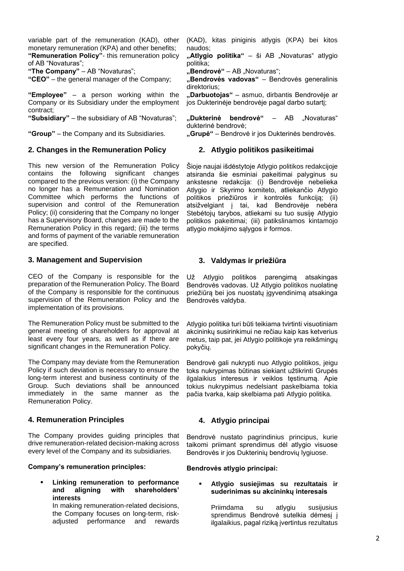variable part of the remuneration (KAD), other monetary remuneration (KPA) and other benefits; **"Remuneration Policy"**- this remuneration policy of AB "Novaturas";

**"The Company"** – AB "Novaturas";

**"CEO"** – the general manager of the Company;

**"Employee"** – a person working within the Company or its Subsidiary under the employment contract;

**"Subsidiary"** – the subsidiary of AB "Novaturas";

**"Group"** – the Company and its Subsidiaries.

### **2. Changes in the Remuneration Policy**

This new version of the Remuneration Policy contains the following significant changes compared to the previous version: (i) the Company no longer has a Remuneration and Nomination Committee which performs the functions of supervision and control of the Remuneration Policy; (ii) considering that the Company no longer has a Supervisory Board, changes are made to the Remuneration Policy in this regard; (iii) the terms and forms of payment of the variable remuneration are specified.

### **3. Management and Supervision**

CEO of the Company is responsible for the preparation of the Remuneration Policy. The Board of the Company is responsible for the continuous supervision of the Remuneration Policy and the implementation of its provisions.

The Remuneration Policy must be submitted to the general meeting of shareholders for approval at least every four years, as well as if there are significant changes in the Remuneration Policy.

The Company may deviate from the Remuneration Policy if such deviation is necessary to ensure the long-term interest and business continuity of the Group. Such deviations shall be announced immediately in the same manner as the Remuneration Policy.

### **4. Remuneration Principles**

The Company provides guiding principles that drive remuneration-related decision-making across every level of the Company and its subsidiaries.

#### **Company's remuneration principles:**

**Linking remuneration to performance and aligning with shareholders' interests** 

In making remuneration-related decisions, the Company focuses on long-term, riskadjusted performance and rewards

(KAD), kitas piniginis atlygis (KPA) bei kitos naudos;

"Atlygio politika" - ši AB "Novaturas" atlygio politika;

**"Bendrovė"** – AB "Novaturas";

**"Bendrovės vadovas"** – Bendrovės generalinis direktorius;

**"Darbuotojas"** – asmuo, dirbantis Bendrovėje ar jos Dukterinėje bendrovėje pagal darbo sutartį;

"Dukterinė bendrovė" – AB "Novaturas" dukterinė bendrovė;

**"Grupė"** – Bendrovė ir jos Dukterinės bendrovės.

#### **2. Atlygio politikos pasikeitimai**

Šioje naujai išdėstytoje Atlygio politikos redakcijoje atsiranda šie esminiai pakeitimai palyginus su ankstesne redakcija: (i) Bendrovėje nebelieka Atlygio ir Skyrimo komiteto, atliekančio Atlygio politikos priežiūros ir kontrolės funkciją; (ii) atsižvelgiant į tai, kad Bendrovėje nebėra Stebėtojų tarybos, atliekami su tuo susiję Atlygio politikos pakeitimai; (iii) patikslinamos kintamojo atlygio mokėjimo sąlygos ir formos.

### **3. Valdymas ir priežiūra**

Už Atlygio politikos parengimą atsakingas Bendrovės vadovas. Už Atlygio politikos nuolatinę priežiūrą bei jos nuostatų įgyvendinimą atsakinga Bendrovės valdyba.

Atlygio politika turi būti teikiama tvirtinti visuotiniam akcininkų susirinkimui ne rečiau kaip kas ketverius metus, taip pat, jei Atlygio politikoje yra reikšmingų pokyčių.

Bendrovė gali nukrypti nuo Atlygio politikos, jeigu toks nukrypimas būtinas siekiant užtikrinti Grupės ilgalaikius interesus ir veiklos testinuma. Apie tokius nukrypimus nedelsiant paskelbiama tokia pačia tvarka, kaip skelbiama pati Atlygio politika.

# **4. Atlygio principai**

Bendrovė nustato pagrindinius principus, kurie taikomi priimant sprendimus dėl atlygio visuose Bendrovės ir jos Dukterinių bendrovių lygiuose.

**Bendrovės atlygio principai:**

### ▪ **Atlygio susiejimas su rezultatais ir suderinimas su akcininkų interesais**

Priimdama su atlygiu susijusius sprendimus Bendrovė sutelkia dėmesį į ilgalaikius, pagal riziką įvertintus rezultatus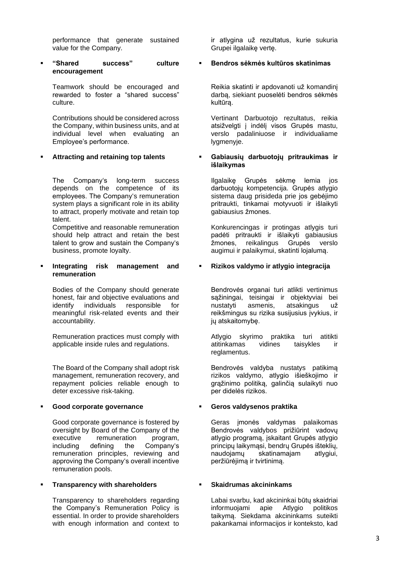performance that generate sustained value for the Company.

▪ **"Shared success" culture encouragement**

Teamwork should be encouraged and rewarded to foster a "shared success" culture.

Contributions should be considered across the Company, within business units, and at individual level when evaluating an Employee's performance.

### ▪ **Attracting and retaining top talents**

The Company's long-term success depends on the competence of its employees. The Company's remuneration system plays a significant role in its ability to attract, properly motivate and retain top talent.

Competitive and reasonable remuneration should help attract and retain the best talent to grow and sustain the Company's business, promote loyalty.

**Integrating risk management and remuneration**

Bodies of the Company should generate honest, fair and objective evaluations and identify individuals responsible for meaningful risk-related events and their accountability.

Remuneration practices must comply with applicable inside rules and regulations.

The Board of the Company shall adopt risk management, remuneration recovery, and repayment policies reliable enough to deter excessive risk-taking.

### ▪ **Good corporate governance**

Good corporate governance is fostered by oversight by Board of the Company of the<br>executive remuneration program. executive remuneration including defining the Company's remuneration principles, reviewing and approving the Company's overall incentive remuneration pools.

### ▪ **Transparency with shareholders**

Transparency to shareholders regarding the Company's Remuneration Policy is essential. In order to provide shareholders with enough information and context to ir atlygina už rezultatus, kurie sukuria Grupei ilgalaikę vertę.

### ▪ **Bendros sėkmės kultūros skatinimas**

Reikia skatinti ir apdovanoti už komandinį darbą, siekiant puoselėti bendros sėkmės kultūrą.

Vertinant Darbuotojo rezultatus, reikia atsižvelgti į indėlį visos Grupės mastu, verslo padaliniuose ir individualiame lygmenyje.

### ▪ **Gabiausių darbuotojų pritraukimas ir išlaikymas**

Ilgalaikę Grupės sėkmę lemia jos darbuotojų kompetencija. Grupės atlygio sistema daug prisideda prie jos gebėjimo pritraukti, tinkamai motyvuoti ir išlaikyti gabiausius žmones.

Konkurencingas ir protingas atlygis turi padėti pritraukti ir išlaikyti gabiausius žmones, reikalingus Grupės verslo augimui ir palaikymui, skatinti lojalumą.

# **Rizikos valdymo ir atlygio integracija**

Bendrovės organai turi atlikti vertinimus sąžiningai, teisingai ir objektyviai bei nustatyti asmenis, atsakingus už reikšmingus su rizika susijusius įvykius, ir jų atskaitomybę.

Atlygio skyrimo praktika turi atitikti atitinkamas vidines taisykles ir reglamentus.

Bendrovės valdyba nustatys patikimą rizikos valdymo, atlygio išieškojimo ir grąžinimo politiką, galinčią sulaikyti nuo per didelės rizikos.

# ▪ **Geros valdysenos praktika**

Geras įmonės valdymas palaikomas Bendrovės valdybos prižiūrint vadovų atlygio programą, įskaitant Grupės atlygio principų laikymąsi, bendrų Grupės išteklių, naudojamų skatinamajam atlygiui, peržiūrėjimą ir tvirtinimą.

### ▪ **Skaidrumas akcininkams**

Labai svarbu, kad akcininkai būtų skaidriai informuojami apie Atlygio politikos taikymą. Siekdama akcininkams suteikti pakankamai informacijos ir konteksto, kad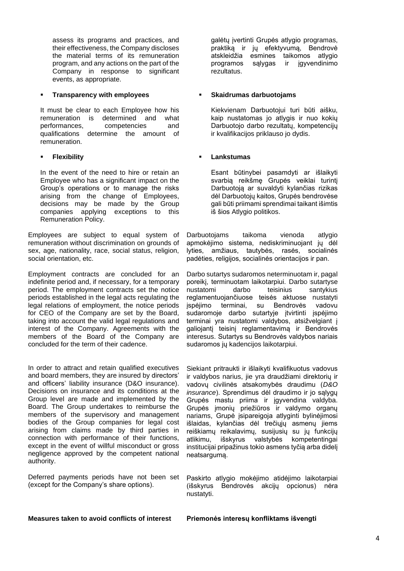assess its programs and practices, and their effectiveness, the Company discloses the material terms of its remuneration program, and any actions on the part of the Company in response to significant events, as appropriate.

### **Transparency with employees**

It must be clear to each Employee how his remuneration is determined and what performances, competencies and qualifications determine the amount of remuneration.

# ▪ **Flexibility**

In the event of the need to hire or retain an Employee who has a significant impact on the Group's operations or to manage the risks arising from the change of Employees, decisions may be made by the Group companies applying exceptions to this Remuneration Policy.

Employees are subject to equal system of remuneration without discrimination on grounds of sex, age, nationality, race, social status, religion, social orientation, etc.

Employment contracts are concluded for an indefinite period and, if necessary, for a temporary period. The employment contracts set the notice periods established in the legal acts regulating the legal relations of employment, the notice periods for CEO of the Company are set by the Board, taking into account the valid legal regulations and interest of the Company. Agreements with the members of the Board of the Company are concluded for the term of their cadence.

In order to attract and retain qualified executives and board members, they are insured by directors' and officers' liability insurance (D&O insurance). Decisions on insurance and its conditions at the Group level are made and implemented by the Board. The Group undertakes to reimburse the members of the supervisory and management bodies of the Group companies for legal cost arising from claims made by third parties in connection with performance of their functions, except in the event of willful misconduct or gross negligence approved by the competent national authority.

Deferred payments periods have not been set (except for the Company's share options).

galėtų įvertinti Grupės atlygio programas, praktiką ir jų efektyvumą, Bendrovė atskleidžia esmines taikomos atlygio programos sąlygas ir įgyvendinimo rezultatus.

### ▪ **Skaidrumas darbuotojams**

Kiekvienam Darbuotojui turi būti aišku, kaip nustatomas jo atlygis ir nuo kokių Darbuotojo darbo rezultatų, kompetencijų ir kvalifikacijos priklauso jo dydis.

# ▪ **Lankstumas**

Esant būtinybei pasamdyti ar išlaikyti svarbią reikšmę Grupės veiklai turintį Darbuotoją ar suvaldyti kylančias rizikas dėl Darbuotojų kaitos, Grupės bendrovėse gali būti priimami sprendimai taikant išimtis iš šios Atlygio politikos.

Darbuotojams taikoma vienoda atlygio apmokėjimo sistema, nediskriminuojant ju dėl lyties, amžiaus, tautybės, rasės, socialinės padėties, religijos, socialinės orientacijos ir pan.

Darbo sutartys sudaromos neterminuotam ir, pagal poreikį, terminuotam laikotarpiui. Darbo sutartyse nustatomi darbo teisinius santykius reglamentuojančiuose teisės aktuose nustatyti įspėjimo terminai, su Bendrovės vadovu sudaromoje darbo sutartyje įtvirtinti įspėjimo terminai yra nustatomi valdybos, atsižvelgiant į galiojantį teisinį reglamentavimą ir Bendrovės interesus. Sutartys su Bendrovės valdybos nariais sudaromos jų kadencijos laikotarpiui.

Siekiant pritraukti ir išlaikyti kvalifikuotus vadovus ir valdybos narius, jie yra draudžiami direktorių ir vadovų civilinės atsakomybės draudimu (*D&O insurance*). Sprendimus dėl draudimo ir jo sąlygų Grupės mastu priima ir įgyvendina valdyba. Grupės įmonių priežiūros ir valdymo organų nariams, Grupė įsipareigoja atlyginti bylinėjimosi išlaidas, kylančias dėl trečiųjų asmenų jiems reiškiamų reikalavimų, susijusių su jų funkcijų atlikimu, išskyrus valstybės kompetentingai institucijai pripažinus tokio asmens tyčią arba didelį neatsargumą.

Paskirto atlygio mokėjimo atidėjimo laikotarpiai (išskyrus Bendrovės akcijų opcionus) nėra nustatyti.

### **Measures taken to avoid conflicts of interest Priemonės interesų konfliktams išvengti**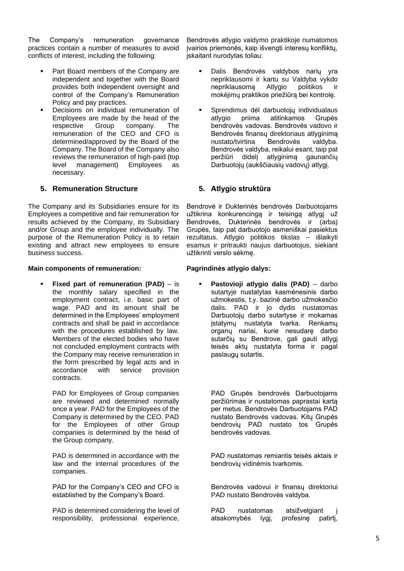The Company's remuneration governance practices contain a number of measures to avoid conflicts of interest, including the following:

- Part Board members of the Company are independent and together with the Board provides both independent oversight and control of the Company's Remuneration Policy and pay practices.
- Decisions on individual remuneration of Employees are made by the head of the respective Group company. The remuneration of the CEO and CFO is determined/approved by the Board of the Company. The Board of the Company also reviews the remuneration of high-paid (top level management) Employees as necessary.

# **5. Remuneration Structure**

The Company and its Subsidiaries ensure for its Employees a competitive and fair remuneration for results achieved by the Company, its Subsidiary and/or Group and the employee individually. The purpose of the Remuneration Policy is to retain existing and attract new employees to ensure business success.

### **Main components of remuneration:**

**Fixed part of remuneration (PAD)** – is the monthly salary specified in the employment contract, i.e. basic part of wage. PAD and its amount shall be determined in the Employees' employment contracts and shall be paid in accordance with the procedures established by law. Members of the elected bodies who have not concluded employment contracts with the Company may receive remuneration in the form prescribed by legal acts and in accordance with service provision contracts.

PAD for Employees of Group companies are reviewed and determined normally once a year. PAD for the Employees of the Company is determined by the CEO. PAD for the Employees of other Group companies is determined by the head of the Group company.

PAD is determined in accordance with the law and the internal procedures of the companies.

PAD for the Company's CEO and CFO is established by the Company's Board.

PAD is determined considering the level of responsibility, professional experience,

Bendrovės atlygio valdymo praktikoje numatomos įvairios priemonės, kaip išvengti interesų konfliktų, įskaitant nurodytas toliau:

- Dalis Bendrovės valdybos narių yra nepriklausomi ir kartu su Valdyba vykdo nepriklausomą Atlygio politikos ir mokėjimų praktikos priežiūrą bei kontrolę.
- Sprendimus dėl darbuotoju individualaus atlygio priima atitinkamos Grupės bendrovės vadovas. Bendrovės vadovo ir Bendrovės finansų direktoriaus atlyginimą nustato/tvirtina Bendrovės valdyba. Bendrovės valdyba, reikalui esant, taip pat peržiūri didelį atlyginimą gaunančių Darbuotojų (aukščiausių vadovų) atlygį.

# **5. Atlygio struktūra**

Bendrovė ir Dukterinės bendrovės Darbuotojams užtikrina konkurencingą ir teisingą atlygį už Bendrovės, Dukterinės bendrovės ir (arba) Grupės, taip pat darbuotojo asmeniškai pasiektus rezultatus. Atlygio politikos tikslas – išlaikyti esamus ir pritraukti naujus darbuotojus, siekiant užtikrinti verslo sėkmę.

# **Pagrindinės atlygio dalys:**

Pastovioji atlygio dalis (PAD) - darbo sutartyje nustatytas kasmėnesinis darbo užmokestis, t.y. bazinė darbo užmokesčio dalis. PAD ir jo dydis nustatomas Darbuotojų darbo sutartyse ir mokamas įstatymų nustatyta tvarka. Renkamų organų nariai, kurie nesudarę darbo sutarčių su Bendrove, gali gauti atlygį teisės aktų nustatyta forma ir pagal paslaugų sutartis.

PAD Grupės bendrovės Darbuotojams peržiūrimas ir nustatomas paprastai kartą per metus. Bendrovės Darbuotojams PAD nustato Bendrovės vadovas. Kitų Grupės bendrovių PAD nustato tos Grupės bendrovės vadovas.

PAD nustatomas remiantis teisės aktais ir bendrovių vidinėmis tvarkomis.

Bendrovės vadovui ir finansų direktoriui PAD nustato Bendrovės valdyba.

PAD nustatomas atsižvelgiant atsakomybės lygį, profesinę patirtį,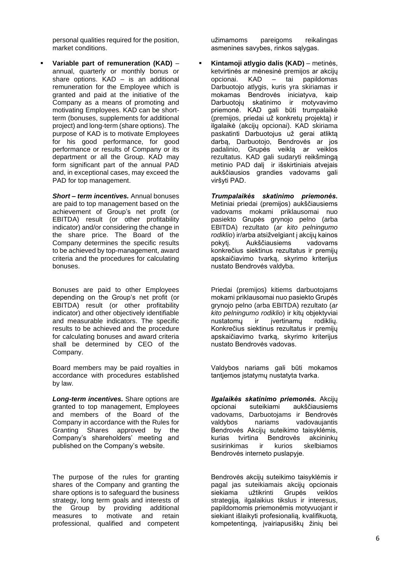personal qualities required for the position, market conditions.

Variable part of remuneration (KAD) annual, quarterly or monthly bonus or share options. KAD – is an additional remuneration for the Employee which is granted and paid at the initiative of the Company as a means of promoting and motivating Employees. KAD can be shortterm (bonuses, supplements for additional project) and long-term (share options). The purpose of KAD is to motivate Employees for his good performance, for good performance or results of Company or its department or all the Group. KAD may form significant part of the annual PAD and, in exceptional cases, may exceed the PAD for top management.

*Short – term incentives.* Annual bonuses are paid to top management based on the achievement of Group's net profit (or EBITDA) result (or other profitability indicator) and/or considering the change in the share price. The Board of the Company determines the specific results to be achieved by top-management, award criteria and the procedures for calculating bonuses.

Bonuses are paid to other Employees depending on the Group's net profit (or EBITDA) result (or other profitability indicator) and other objectively identifiable and measurable indicators. The specific results to be achieved and the procedure for calculating bonuses and award criteria shall be determined by CEO of the Company.

Board members may be paid royalties in accordance with procedures established by law.

*Long-term incentives.* Share options are granted to top management, Employees and members of the Board of the Company in accordance with the Rules for Granting Shares approved by the Company's shareholders' meeting and published on the Company's website.

The purpose of the rules for granting shares of the Company and granting the share options is to safeguard the business strategy, long term goals and interests of the Group by providing additional measures to motivate and retain professional, qualified and competent užimamoms pareigoms reikalingas asmenines savybes, rinkos sąlygas.

▪ **Kintamoji atlygio dalis (KAD)** – metinės, ketvirtinės ar mėnesinė premijos ar akcijų<br>opcionai. KAD – tai papildomas opcionai. KAD – tai Darbuotojo atlygis, kuris yra skiriamas ir mokamas Bendrovės iniciatyva, kaip Darbuotojų skatinimo ir motyvavimo priemonė. KAD gali būti trumpalaikė (premijos, priedai už konkretų projektą) ir ilgalaikė (akcijų opcionai). KAD skiriama paskatinti Darbuotojus už gerai atliktą darbą, Darbuotojo, Bendrovės ar jos padalinio, Grupės veiklą ar veiklos rezultatus. KAD gali sudaryti reikšmingą metinio PAD dalį ir išskirtiniais atvejais aukščiausios grandies vadovams gali viršyti PAD.

*Trumpalaikės skatinimo priemonės.*  Metiniai priedai (premijos) aukščiausiems vadovams mokami priklausomai nuo pasiekto Grupės grynojo pelno (arba EBITDA) rezultato (*ar kito pelningumo rodiklio*) ir/arba atsižvelgiant į akcijų kainos pokytį. Aukščiausiems vadovams konkrečius siektinus rezultatus ir premijų apskaičiavimo tvarką, skyrimo kriterijus nustato Bendrovės valdyba.

Priedai (premijos) kitiems darbuotojams mokami priklausomai nuo pasiekto Grupės grynojo pelno (arba EBITDA) rezultato (*ar kito pelningumo rodiklio*) ir kitų objektyviai nustatomų ir įvertinamų rodiklių. Konkrečius siektinus rezultatus ir premijų apskaičiavimo tvarką, skyrimo kriterijus nustato Bendrovės vadovas.

Valdybos nariams gali būti mokamos tantjemos įstatymų nustatyta tvarka.

*Ilgalaikės skatinimo priemonės.* Akcijų opcionai suteikiami aukščiausiems vadovams, Darbuotojams ir Bendrovės valdybos nariams vadovaujantis Bendrovės Akcijų suteikimo taisyklėmis, kurias tvirtina Bendrovės akcininkų susirinkimas ir kurios skelbiamos Bendrovės interneto puslapyje.

Bendrovės akcijų suteikimo taisyklėmis ir pagal jas suteikiamais akcijų opcionais siekiama užtikrinti Grupės veiklos strategiją, ilgalaikius tikslus ir interesus, papildomomis priemonėmis motyvuojant ir siekiant išlaikyti profesionalią, kvalifikuotą, kompetentingą, įvairiapusiškų žinių bei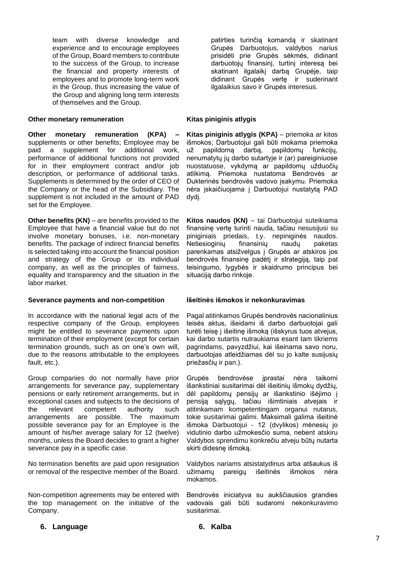team with diverse knowledge and experience and to encourage employees of the Group, Board members to contribute to the success of the Group, to increase the financial and property interests of employees and to promote long-term work in the Group, thus increasing the value of the Group and aligning long term interests of themselves and the Group.

### **Other monetary remuneration**

**Other monetary remuneration (KPA) –** supplements or other benefits; Employee may be paid a supplement for additional work, performance of additional functions not provided for in their employment contract and/or job description, or performance of additional tasks. Supplements is determined by the order of CEO of the Company or the head of the Subsidiary. The supplement is not included in the amount of PAD set for the Employee.

**Other benefits (KN)** – are benefits provided to the Employee that have a financial value but do not involve monetary bonuses, i.e. non-monetary benefits. The package of indirect financial benefits is selected taking into account the financial position and strategy of the Group or its individual company, as well as the principles of fairness, equality and transparency and the situation in the labor market.

### **Severance payments and non-competition**

In accordance with the national legal acts of the respective company of the Group, employees might be entitled to severance payments upon termination of their employment (except for certain termination grounds, such as on one's own will, due to the reasons attributable to the employees fault, etc.).

Group companies do not normally have prior arrangements for severance pay, supplementary pensions or early retirement arrangements, but in exceptional cases and subjects to the decisions of the relevant competent authority such arrangements are possible. The maximum possible severance pay for an Employee is the amount of his/her average salary for 12 (twelve) months, unless the Board decides to grant a higher severance pay in a specific case.

No termination benefits are paid upon resignation or removal of the respective member of the Board.

Non-competition agreements may be entered with the top management on the initiative of the Company.

patirties turinčią komandą ir skatinant Grupės Darbuotojus, valdybos narius prisidėti prie Grupės sėkmės, didinant darbuotojų finansinį, turtinį interesą bei skatinant ilgalaikį darbą Grupėje, taip didinant Grupės vertę ir suderinant ilgalaikius savo ir Grupės interesus.

#### **Kitas piniginis atlygis**

**Kitas piniginis atlygis (KPA)** – priemoka ar kitos išmokos; Darbuotojui gali būti mokama priemoka už papildomą darbą, papildomų funkcijų, nenumatytų jų darbo sutartyje ir (ar) pareiginiuose nuostatuose, vykdymą ar papildomų užduočių atlikimą. Priemoka nustatoma Bendrovės ar Dukterinės bendrovės vadovo įsakymu. Priemoka nėra įskaičiuojama į Darbuotojui nustatytą PAD dydį.

**Kitos naudos (KN)** – tai Darbuotojui suteikiama finansinę vertę turinti nauda, tačiau nesusijusi su piniginiais priedais, t.y. nepiniginės naudos. Netiesioginių finansinių naudų paketas parenkamas atsižvelgus į Grupės ar atskiros jos bendrovės finansinę padėtį ir strategiją, taip pat teisingumo, lygybės ir skaidrumo principus bei situaciją darbo rinkoje.

### **Išeitinės išmokos ir nekonkuravimas**

Pagal atitinkamos Grupės bendrovės nacionalinius teisės aktus, išeidami iš darbo darbuotojai gali turėti teisę į išeitinę išmoką (išskyrus tuos atvejus, kai darbo sutartis nutraukiama esant tam tikriems pagrindams, pavyzdžiui, kai išeinama savo noru, darbuotojas atleidžiamas dėl su jo kalte susijusių priežasčių ir pan.).

Grupės bendrovėse įprastai nėra taikomi išankstiniai susitarimai dėl išeitinių išmokų dydžių, dėl papildomų pensijų ar išankstinio išėjimo į pensiją sąlygų, tačiau išimtiniais atvejais ir atitinkamam kompetentingam organui nutarus, tokie susitarimai galimi. Maksimali galima išeitinė išmoka Darbuotojui - 12 (dvylikos) mėnesių jo vidutinio darbo užmokesčio suma, nebent atskiru Valdybos sprendimu konkrečiu atveju būtų nutarta skirti didesnę išmoką.

Valdybos nariams atsistatydinus arba atšaukus iš užimamų pareigų išeitinės išmokos nėra mokamos.

Bendrovės iniciatyva su aukščiausios grandies vadovais gali būti sudaromi nekonkuravimo susitarimai.

- **6. Language 6. Kalba**
-